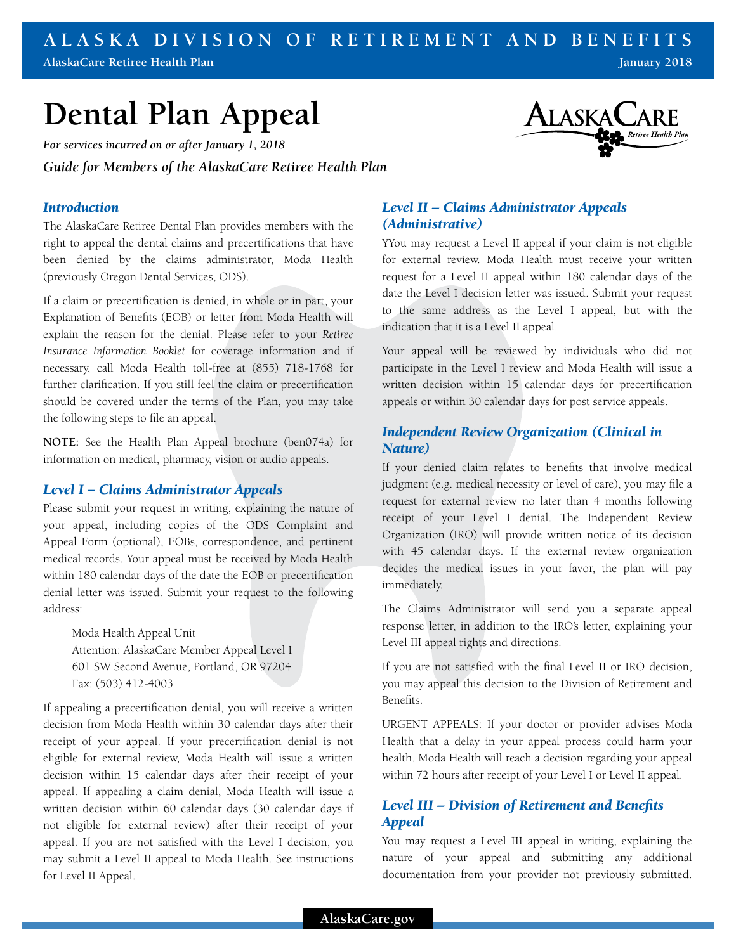#### **ALASKA DIVISION OF RETIREMENT AND BENEFITS AlaskaCare Retiree Health Plan January 2018**

# **Dental Plan Appeal**

*For services incurred on or after January 1, 2018*

*Guide for Members of the AlaskaCare Retiree Health Plan*

### *Introduction*

The AlaskaCare Retiree Dental Plan provides members with the right to appeal the dental claims and precertifications that have been denied by the claims administrator, Moda Health (previously Oregon Dental Services, ODS).

If a claim or precertification is denied, in whole or in part, your Explanation of Benefits (EOB) or letter from Moda Health will explain the reason for the denial. Please refer to your *Retiree Insurance Information Booklet* for coverage information and if necessary, call Moda Health toll-free at (855) 718-1768 for further clarification. If you still feel the claim or precertification should be covered under the terms of the Plan, you may take the following steps to file an appeal.

**NOTE:** See the Health Plan Appeal brochure (ben074a) for information on medical, pharmacy, vision or audio appeals.

#### *Level I – Claims Administrator Appeals*

Please submit your request in writing, explaining the nature of your appeal, including copies of the ODS Complaint and Appeal Form (optional), EOBs, correspondence, and pertinent medical records. Your appeal must be received by Moda Health within 180 calendar days of the date the EOB or precertification denial letter was issued. Submit your request to the following address:

Moda Health Appeal Unit Attention: AlaskaCare Member Appeal Level I 601 SW Second Avenue, Portland, OR 97204 Fax: (503) 412-4003

If appealing a precertification denial, you will receive a written decision from Moda Health within 30 calendar days after their receipt of your appeal. If your precertification denial is not eligible for external review, Moda Health will issue a written decision within 15 calendar days after their receipt of your appeal. If appealing a claim denial, Moda Health will issue a written decision within 60 calendar days (30 calendar days if not eligible for external review) after their receipt of your appeal. If you are not satisfied with the Level I decision, you may submit a Level II appeal to Moda Health. See instructions for Level II Appeal.



# *Level II – Claims Administrator Appeals (Administrative)*

YYou may request a Level II appeal if your claim is not eligible for external review. Moda Health must receive your written request for a Level II appeal within 180 calendar days of the date the Level I decision letter was issued. Submit your request to the same address as the Level I appeal, but with the indication that it is a Level II appeal.

Your appeal will be reviewed by individuals who did not participate in the Level I review and Moda Health will issue a written decision within 15 calendar days for precertification appeals or within 30 calendar days for post service appeals.

## *Independent Review Organization (Clinical in Nature)*

If your denied claim relates to benefits that involve medical judgment (e.g. medical necessity or level of care), you may file a request for external review no later than 4 months following receipt of your Level I denial. The Independent Review Organization (IRO) will provide written notice of its decision with 45 calendar days. If the external review organization decides the medical issues in your favor, the plan will pay immediately.

The Claims Administrator will send you a separate appeal response letter, in addition to the IRO's letter, explaining your Level III appeal rights and directions.

If you are not satisfied with the final Level II or IRO decision, you may appeal this decision to the Division of Retirement and Benefits.

URGENT APPEALS: If your doctor or provider advises Moda Health that a delay in your appeal process could harm your health, Moda Health will reach a decision regarding your appeal within 72 hours after receipt of your Level I or Level II appeal.

# *Level III – Division of Retirement and Benefits Appeal*

You may request a Level III appeal in writing, explaining the nature of your appeal and submitting any additional documentation from your provider not previously submitted.